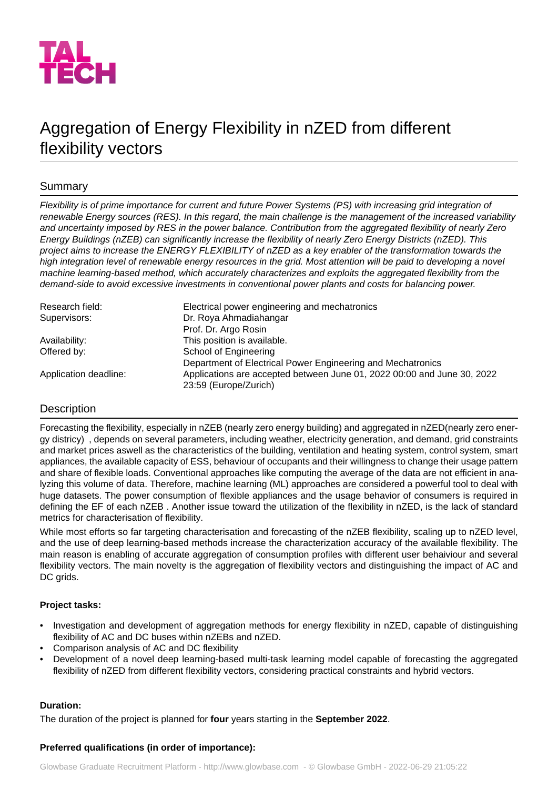

# Aggregation of Energy Flexibility in nZED from different flexibility vectors

# Summary

*Flexibility is of prime importance for current and future Power Systems (PS) with increasing grid integration of renewable Energy sources (RES). In this regard, the main challenge is the management of the increased variability and uncertainty imposed by RES in the power balance. Contribution from the aggregated flexibility of nearly Zero Energy Buildings (nZEB) can significantly increase the flexibility of nearly Zero Energy Districts (nZED). This project aims to increase the ENERGY FLEXIBILITY of nZED as a key enabler of the transformation towards the high integration level of renewable energy resources in the grid. Most attention will be paid to developing a novel machine learning-based method, which accurately characterizes and exploits the aggregated flexibility from the demand-side to avoid excessive investments in conventional power plants and costs for balancing power.*

| Electrical power engineering and mechatronics                                                    |
|--------------------------------------------------------------------------------------------------|
| Dr. Roya Ahmadiahangar                                                                           |
| Prof. Dr. Argo Rosin                                                                             |
| This position is available.                                                                      |
| School of Engineering                                                                            |
| Department of Electrical Power Engineering and Mechatronics                                      |
| Applications are accepted between June 01, 2022 00:00 and June 30, 2022<br>23:59 (Europe/Zurich) |
|                                                                                                  |

# **Description**

Forecasting the flexibility, especially in nZEB (nearly zero energy building) and aggregated in nZED(nearly zero energy districy) , depends on several parameters, including weather, electricity generation, and demand, grid constraints and market prices aswell as the characteristics of the building, ventilation and heating system, control system, smart appliances, the available capacity of ESS, behaviour of occupants and their willingness to change their usage pattern and share of flexible loads. Conventional approaches like computing the average of the data are not efficient in analyzing this volume of data. Therefore, machine learning (ML) approaches are considered a powerful tool to deal with huge datasets. The power consumption of flexible appliances and the usage behavior of consumers is required in defining the EF of each nZEB. Another issue toward the utilization of the flexibility in nZED, is the lack of standard metrics for characterisation of flexibility.

While most efforts so far targeting characterisation and forecasting of the nZEB flexibility, scaling up to nZED level, and the use of deep learning-based methods increase the characterization accuracy of the available flexibility. The main reason is enabling of accurate aggregation of consumption profiles with different user behaiviour and several flexibility vectors. The main novelty is the aggregation of flexibility vectors and distinguishing the impact of AC and DC grids.

### **Project tasks:**

- Investigation and development of aggregation methods for energy flexibility in nZED, capable of distinguishing flexibility of AC and DC buses within nZEBs and nZED.
- Comparison analysis of AC and DC flexibility
- Development of a novel deep learning-based multi-task learning model capable of forecasting the aggregated flexibility of nZED from different flexibility vectors, considering practical constraints and hybrid vectors.

### **Duration:**

The duration of the project is planned for **four** years starting in the **September 2022**.

### **Preferred qualifications (in order of importance):**